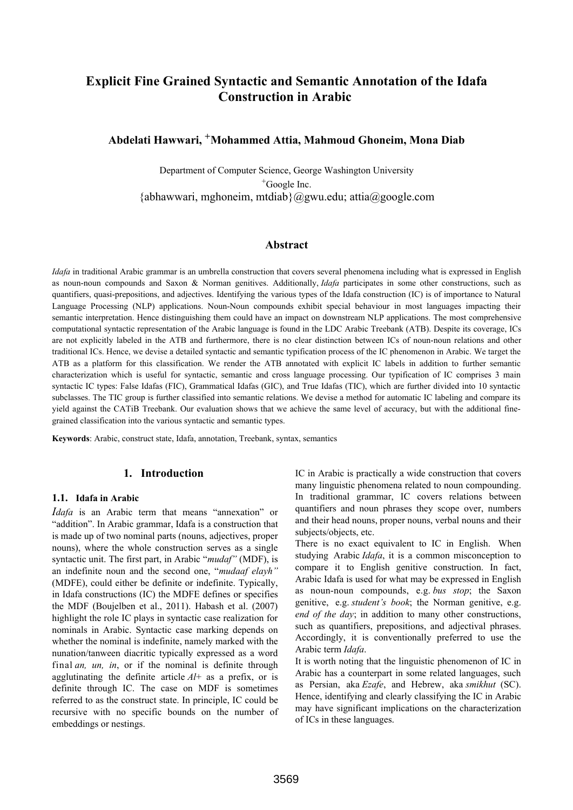# **Explicit Fine Grained Syntactic and Semantic Annotation of the Idafa Construction in Arabic**

# **Abdelati Hawwari, +Mohammed Attia, Mahmoud Ghoneim, Mona Diab**

Department of Computer Science, George Washington University +Google Inc.  ${abhawwari, mghoneim, mtdiab}$   $@gww.edu; attia@google.com$ 

#### **Abstract**

*Idafa* in traditional Arabic grammar is an umbrella construction that covers several phenomena including what is expressed in English as noun-noun compounds and Saxon & Norman genitives. Additionally, *Idafa* participates in some other constructions, such as quantifiers, quasi-prepositions, and adjectives. Identifying the various types of the Idafa construction (IC) is of importance to Natural Language Processing (NLP) applications. Noun-Noun compounds exhibit special behaviour in most languages impacting their semantic interpretation. Hence distinguishing them could have an impact on downstream NLP applications. The most comprehensive computational syntactic representation of the Arabic language is found in the LDC Arabic Treebank (ATB). Despite its coverage, ICs are not explicitly labeled in the ATB and furthermore, there is no clear distinction between ICs of noun-noun relations and other traditional ICs. Hence, we devise a detailed syntactic and semantic typification process of the IC phenomenon in Arabic. We target the ATB as a platform for this classification. We render the ATB annotated with explicit IC labels in addition to further semantic characterization which is useful for syntactic, semantic and cross language processing. Our typification of IC comprises 3 main syntactic IC types: False Idafas (FIC), Grammatical Idafas (GIC), and True Idafas (TIC), which are further divided into 10 syntactic subclasses. The TIC group is further classified into semantic relations. We devise a method for automatic IC labeling and compare its yield against the CATiB Treebank. Our evaluation shows that we achieve the same level of accuracy, but with the additional finegrained classification into the various syntactic and semantic types.

**Keywords**: Arabic, construct state, Idafa, annotation, Treebank, syntax, semantics

# **1. Introduction**

#### **1.1. Idafa in Arabic**

*Idafa* is an Arabic term that means "annexation" or "addition". In Arabic grammar, Idafa is a construction that is made up of two nominal parts (nouns, adjectives, proper nouns), where the whole construction serves as a single syntactic unit. The first part, in Arabic "*mudaf"* (MDF), is an indefinite noun and the second one, "*mudaaf elayh"* (MDFE), could either be definite or indefinite. Typically, in Idafa constructions (IC) the MDFE defines or specifies the MDF (Boujelben et al., 2011). Habash et al. (2007) highlight the role IC plays in syntactic case realization for nominals in Arabic. Syntactic case marking depends on whether the nominal is indefinite, namely marked with the nunation/tanween diacritic typically expressed as a word final *an, un, in, or* if the nominal is definite through agglutinating the definite article *Al*+ as a prefix, or is definite through IC. The case on MDF is sometimes referred to as the construct state. In principle, IC could be recursive with no specific bounds on the number of embeddings or nestings.

IC in Arabic is practically a wide construction that covers many linguistic phenomena related to noun compounding. In traditional grammar, IC covers relations between quantifiers and noun phrases they scope over, numbers and their head nouns, proper nouns, verbal nouns and their subjects/objects, etc.

There is no exact equivalent to IC in English. When studying Arabic *Idafa*, it is a common misconception to compare it to English genitive construction. In fact, Arabic Idafa is used for what may be expressed in English as noun-noun compounds, e.g. *bus stop*; the Saxon genitive, e.g. *student's book*; the Norman genitive, e.g. *end of the day*; in addition to many other constructions, such as quantifiers, prepositions, and adjectival phrases. Accordingly, it is conventionally preferred to use the Arabic term *Idafa*.

It is worth noting that the linguistic phenomenon of IC in Arabic has a counterpart in some related languages, such as Persian, aka *Ezafe*, and Hebrew, aka *smikhut* (SC). Hence, identifying and clearly classifying the IC in Arabic may have significant implications on the characterization of ICs in these languages.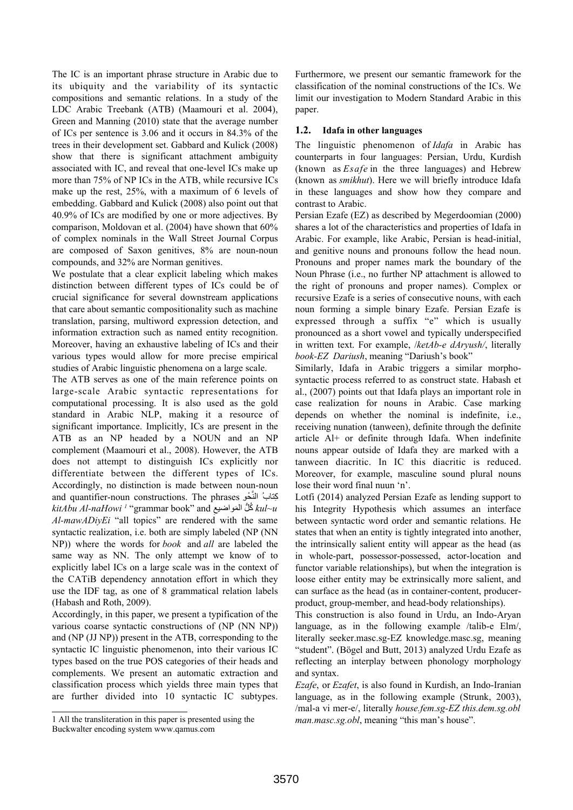The IC is an important phrase structure in Arabic due to its ubiquity and the variability of its syntactic compositions and semantic relations. In a study of the LDC Arabic Treebank (ATB) (Maamouri et al. 2004), Green and Manning (2010) state that the average number of ICs per sentence is 3.06 and it occurs in 84.3% of the trees in their development set. Gabbard and Kulick (2008) show that there is significant attachment ambiguity associated with IC, and reveal that one-level ICs make up more than 75% of NP ICs in the ATB, while recursive ICs make up the rest, 25%, with a maximum of 6 levels of embedding. Gabbard and Kulick (2008) also point out that 40.9% of ICs are modified by one or more adjectives. By comparison, Moldovan et al. (2004) have shown that 60% of complex nominals in the Wall Street Journal Corpus are composed of Saxon genitives, 8% are noun-noun compounds, and 32% are Norman genitives.

We postulate that a clear explicit labeling which makes distinction between different types of ICs could be of crucial significance for several downstream applications that care about semantic compositionality such as machine translation, parsing, multiword expression detection, and information extraction such as named entity recognition. Moreover, having an exhaustive labeling of ICs and their various types would allow for more precise empirical studies of Arabic linguistic phenomena on a large scale.

The ATB serves as one of the main reference points on large-scale Arabic syntactic representations for computational processing. It is also used as the gold standard in Arabic NLP, making it a resource of significant importance. Implicitly, ICs are present in the ATB as an NP headed by a NOUN and an NP complement (Maamouri et al., 2008). However, the ATB does not attempt to distinguish ICs explicitly nor differentiate between the different types of ICs. Accordingly, no distinction is made between noun-noun and quantifier-noun constructions. The phrases كِتابُ النَّحْو *kitAbu Al-naHowi 1* "grammar book" and ِ المواضیع *u~kul* ُك ُّل َ *Al-mawADiyEi* "all topics" are rendered with the same syntactic realization, i.e. both are simply labeled (NP (NN NP)) where the words for *book* and *all* are labeled the same way as NN. The only attempt we know of to explicitly label ICs on a large scale was in the context of the CATiB dependency annotation effort in which they use the IDF tag, as one of 8 grammatical relation labels (Habash and Roth, 2009).

Accordingly, in this paper, we present a typification of the various coarse syntactic constructions of (NP (NN NP)) and (NP (JJ NP)) present in the ATB, corresponding to the syntactic IC linguistic phenomenon, into their various IC types based on the true POS categories of their heads and complements. We present an automatic extraction and classification process which yields three main types that are further divided into 10 syntactic IC subtypes.

1 All the transliteration in this paper is presented using the Buckwalter encoding system www.qamus.com

Furthermore, we present our semantic framework for the classification of the nominal constructions of the ICs. We limit our investigation to Modern Standard Arabic in this paper.

#### **1.2. Idafa in other languages**

The linguistic phenomenon of *Idafa* in Arabic has counterparts in four languages: Persian, Urdu, Kurdish (known as *Esafe* in the three languages) and Hebrew (known as *smikhut*). Here we will briefly introduce Idafa in these languages and show how they compare and contrast to Arabic.

Persian Ezafe (EZ) as described by Megerdoomian (2000) shares a lot of the characteristics and properties of Idafa in Arabic. For example, like Arabic, Persian is head-initial, and genitive nouns and pronouns follow the head noun. Pronouns and proper names mark the boundary of the Noun Phrase (i.e., no further NP attachment is allowed to the right of pronouns and proper names). Complex or recursive Ezafe is a series of consecutive nouns, with each noun forming a simple binary Ezafe. Persian Ezafe is expressed through a suffix "e" which is usually pronounced as a short vowel and typically underspecified in written text. For example, /*ketAb-e dAryush/*, literally *book-EZ Dariush*, meaning "Dariush's book"

Similarly, Idafa in Arabic triggers a similar morphosyntactic process referred to as construct state. Habash et al., (2007) points out that Idafa plays an important role in case realization for nouns in Arabic. Case marking depends on whether the nominal is indefinite, i.e., receiving nunation (tanween), definite through the definite article Al+ or definite through Idafa. When indefinite nouns appear outside of Idafa they are marked with a tanween diacritic. In IC this diacritic is reduced. Moreover, for example, masculine sound plural nouns lose their word final nuun 'n'.

Lotfi (2014) analyzed Persian Ezafe as lending support to his Integrity Hypothesis which assumes an interface between syntactic word order and semantic relations. He states that when an entity is tightly integrated into another, the intrinsically salient entity will appear as the head (as in whole-part, possessor-possessed, actor-location and functor variable relationships), but when the integration is loose either entity may be extrinsically more salient, and can surface as the head (as in container-content, producerproduct, group-member, and head-body relationships).

This construction is also found in Urdu, an Indo-Aryan language, as in the following example /talib-e Elm/, literally seeker.masc.sg-EZ knowledge.masc.sg, meaning "student". (Bögel and Butt, 2013) analyzed Urdu Ezafe as reflecting an interplay between phonology morphology and syntax.

*Ezafe*, or *Ezafet*, is also found in Kurdish, an Indo-Iranian language, as in the following example (Strunk, 2003), /mal-a vi mer-e/, literally *house.fem.sg-EZ this.dem.sg.obl man.masc.sg.obl*, meaning "this man's house".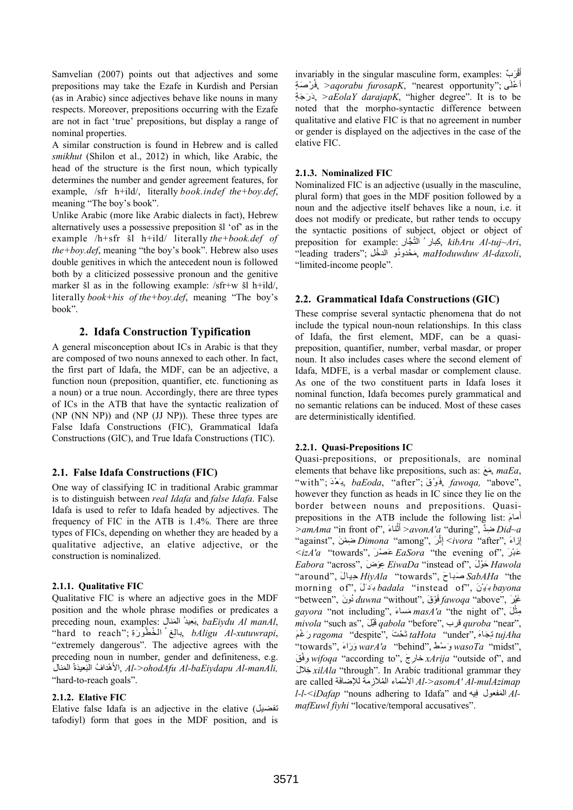Samvelian (2007) points out that adjectives and some prepositions may take the Ezafe in Kurdish and Persian (as in Arabic) since adjectives behave like nouns in many respects. Moreover, prepositions occurring with the Ezafe are not in fact 'true' prepositions, but display a range of nominal properties.

A similar construction is found in Hebrew and is called *smikhut* (Shilon et al., 2012) in which, like Arabic, the head of the structure is the first noun, which typically determines the number and gender agreement features, for example, /sfr h+ild/, literally *book.indef the+boy.def*, meaning "The boy's book".

Unlike Arabic (more like Arabic dialects in fact), Hebrew alternatively uses a possessive preposition šl 'of' as in the example /h+sfr šl h+ild/ literally *the+book.def of the+boy.def*, meaning "the boy's book". Hebrew also uses double genitives in which the antecedent noun is followed both by a cliticized possessive pronoun and the genitive marker šl as in the following example: /sfr+w šl h+ild/, literally *book+his of the+boy.def*, meaning "The boy's book".

### **2. Idafa Construction Typification**

A general misconception about ICs in Arabic is that they are composed of two nouns annexed to each other. In fact, the first part of Idafa, the MDF, can be an adjective, a function noun (preposition, quantifier, etc. functioning as a noun) or a true noun. Accordingly, there are three types of ICs in the ATB that have the syntactic realization of (NP (NN NP)) and (NP (JJ NP)). These three types are False Idafa Constructions (FIC), Grammatical Idafa Constructions (GIC), and True Idafa Constructions (TIC).

#### **2.1. False Idafa Constructions (FIC)**

One way of classifying IC in traditional Arabic grammar is to distinguish between *real Idafa* and *false Idafa*. False Idafa is used to refer to Idafa headed by adjectives. The frequency of FIC in the ATB is 1.4%. There are three types of FICs, depending on whether they are headed by a qualitative adjective, an elative adjective, or the construction is nominalized.

#### **2.1.1. Qualitative FIC**

Qualitative FIC is where an adjective goes in the MDF position and the whole phrase modifies or predicates a preceding noun, examples: ِالمنال َ ِعیدُ َ ب, *baEiydu Al manAl*, "hard to reach"; ِرةَ وُ ِغ ُ ال ُخط بال, *bAligu Al-xutuwrapi*, "extremely dangerous". The adjective agrees with the preceding noun in number, gender and definiteness, e.g. المنالِ َ ُ َعیَدة َ ْھدا ُف الب الأ, *Al->ohodAfu Al-baEiydapu Al-manAli,* "hard-to-reach goals".

#### **2.1.2. Elative FIC**

Elative false Idafa is an adjective in the elative (تفضیل tafodiyl) form that goes in the MDF position, and is

invariably in the singular masculine form, examples: ٌربَ ْ َق أ ُ ْر َصةٍ ف,*< aqorabu furosapK*, "nearest opportunity"; ىَ أ ْعل ٍجةَ رَ َد,*< aEolaY darajapK*, "higher degree". It is to be noted that the morpho-syntactic difference between qualitative and elative FIC is that no agreement in number or gender is displayed on the adjectives in the case of the elative FIC.

#### **2.1.3. Nominalized FIC**

Nominalized FIC is an adjective (usually in the masculine, plural form) that goes in the MDF position followed by a noun and the adjective itself behaves like a noun, i.e. it does not modify or predicate, but rather tends to occupy the syntactic positions of subject, object or object of preposition for example: كِبار ُ التُجَّار, *kibAru Al-tuj~Ari*, "leading traders"; مَحْدودُو الدخْل, maHoduwduw Al-daxoli, "limited-income people".

### **2.2. Grammatical Idafa Constructions (GIC)**

These comprise several syntactic phenomena that do not include the typical noun-noun relationships. In this class of Idafa, the first element, MDF, can be a quasipreposition, quantifier, number, verbal masdar, or proper noun. It also includes cases where the second element of Idafa, MDFE, is a verbal masdar or complement clause. As one of the two constituent parts in Idafa loses it nominal function, Idafa becomes purely grammatical and no semantic relations can be induced. Most of these cases are deterministically identified.

#### **2.2.1. Quasi-Prepositions IC**

Quasi-prepositions, or prepositionals, are nominal elements that behave like prepositions, such as: مَعَ , *maEa*, ,"above "*,fawoqa* ,فَوْقَ ;"after ",*baEoda* ,بَعْدَ ;"with" however they function as heads in IC since they lie on the border between nouns and prepositions. Quasiprepositions in the ATB include the following list: َمامَ أ *>amAma* "in front of", َناءْ َث أ*< avonA'a* "during", ضَّدِ *Did~a* ْرَ ,"among "*Dimona* ِض ْمنَ ,"against" ِث ِزاءَ ,"after "*ivora <*إ إ <*izA'a* "towards", عَضْرَ *EaSora* "the evening of", عَبْرَ *Eabora* "across", َوضَعِ *EiwaDa* "instead of", َولْحَ *Hawola* ِیالَ ,"around" َباحَ ,"towards "*HiyAla* ح ص *SabAHa* "the *bayona* بَیْنَ ,"of instead "*badala* بَدَلَ ,"of morning َغْیرَ ,"above "*fawoqa* َفْوقَ ,"without "*duwna* ُدونَ ,"between" *gayora* "not including", َمساءَ *masA'a* "the night of", َلْ ِمث *mivola* "such as", َبلْقَ *qabola* "before", قرب *quroba* "near", ِ َجاهَ ,"under "*taHota* تَ ْحتَ ,"despite "*ragoma* َر ْغمَ *tujAha* ت َسْطَ ,"behind "*a'warA* َو َراءَ ,"towards" و *wasoTa* "midst", ْقَ ِف و *wifoqa* "according to", َرجِ خا *xArija* "outside of", and َخلالِ *xilAla* "through". In Arabic traditional grammar they are called الأسْماء المُلازِمة للإضافَة are called *l-l-<iDafap* "nouns adhering to Idafa" and یھِ المفعول ف َ *AlmafEuwl fiyhi* "locative/temporal accusatives".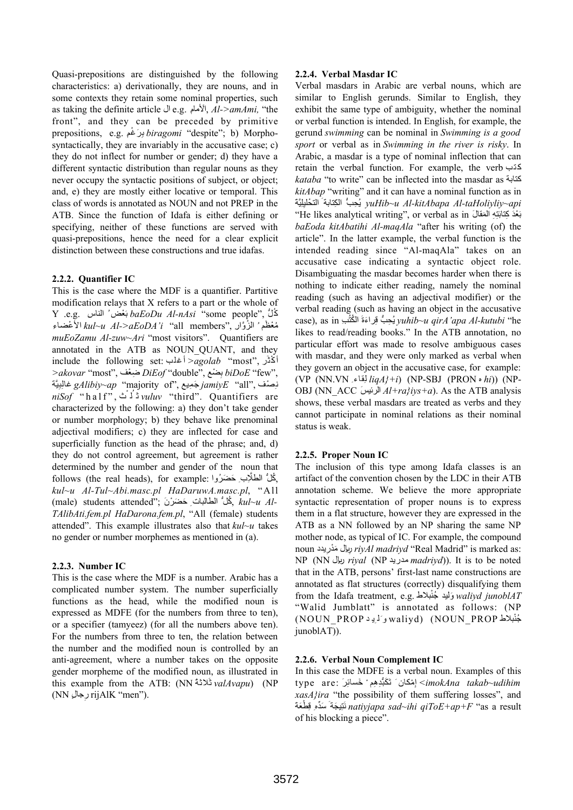Quasi-prepositions are distinguished by the following characteristics: a) derivationally, they are nouns, and in some contexts they retain some nominal properties, such as taking the definite article ال e.g. ِلأمامَا, *Al->amAmi,* "the front", and they can be preceded by primitive prepositions, e.g. ِغمْ رَ ِ ب *biragomi* "despite"; b) Morphosyntactically, they are invariably in the accusative case; c) they do not inflect for number or gender; d) they have a different syntactic distribution than regular nouns as they never occupy the syntactic positions of subject, or object; and, e) they are mostly either locative or temporal. This class of words is annotated as NOUN and not PREP in the ATB. Since the function of Idafa is either defining or specifying, neither of these functions are served with quasi-prepositions, hence the need for a clear explicit distinction between these constructions and true idafas.

### **2.2.2. Quantifier IC**

This is the case where the MDF is a quantifier. Partitive modification relays that X refers to a part or the whole of Y .e.g. ِالناس ُعضْ َ ب *baEoDu Al-nAsi* "some people", لُُّ ك مُعْظَم<sup>ِ ،</sup> الزُوَّار ,''all members الأعضاء الع*ثاءانا kul~u Al->aEoDA'i muEoZamu Al-zuw~Ari* "most visitors". Quantifiers are annotated in the ATB as NOUN\_QUANT, and they include the following set: أغلب*< agolab* "most", رَثْ أك *>akovar* "most", عفْ ضِ *DiEof* "double", ضعْ ِ ب *biDoE* "few", ِیَّة ِب غال *gAlibiy~ap* "majority of", میعِ جَ *jamiyE* "all", صفْ ِن *niSof* "half", ثْ لُ ث *vuluv* "third". Quantifiers are characterized by the following: a) they don't take gender or number morphology; b) they behave like prenominal adjectival modifiers; c) they are inflected for case and superficially function as the head of the phrase; and, d) they do not control agreement, but agreement is rather determined by the number and gender of the noun that follows (the real heads), for example: كُلُّ الطَّلَّابِ حَضَرُواً, *kul~u Al-Tul~Abi.masc.pl HaDaruwA.masc.pl*, "All (male) students attended"; َرنْ ضَ حَ ِالطالبات كلُُّ , *kul~u Al-TAlibAti.fem.pl HaDarona.fem.pl*, "All (female) students attended". This example illustrates also that *kul~u* takes no gender or number morphemes as mentioned in (a).

#### **2.2.3. Number IC**

This is the case where the MDF is a number. Arabic has a complicated number system. The number superficially functions as the head, while the modified noun is expressed as MDFE (for the numbers from three to ten), or a specifier (tamyeez) (for all the numbers above ten). For the numbers from three to ten, the relation between the number and the modified noun is controlled by an anti-agreement, where a number takes on the opposite gender morpheme of the modified noun, as illustrated in this example from the ATB: (NN ُلاثةَ ث *valAvapu*) (NP (NN ٍرجالِ rijAlK "men").

#### **2.2.4. Verbal Masdar IC**

Verbal masdars in Arabic are verbal nouns, which are similar to English gerunds. Similar to English, they exhibit the same type of ambiguity, whether the nominal or verbal function is intended. In English, for example, the gerund *swimming* can be nominal in *Swimming is a good sport* or verbal as in *Swimming in the river is risky*. In Arabic, a masdar is a type of nominal inflection that can retain the verbal function. For example, the verb كتب *kataba* "to write" can be inflected into the masdar as كتابة *kitAbap* "writing" and it can have a nominal function as in ِیَّةَ حلیْ الت َالكتابة ِ حبُِّ ُی *yuHib~u Al-kitAbapa Al-taHoliyliy~api* ِل "He likes analytical writing", or verbal as in َالمقال َ ِ ِھ َت َ ْعَد ِكتاب ب *baEoda kitAbatihi Al-maqAla* "after his writing (of) the article". In the latter example, the verbal function is the intended reading since "Al-maqAla" takes on an accusative case indicating a syntactic object role. Disambiguating the masdar becomes harder when there is nothing to indicate either reading, namely the nominal reading (such as having an adjectival modifier) or the verbal reading (such as having an object in the accusative case), as in ِبُ الكت ِرا َءةَ ُ ق ُّب حِ ُی *yuhib~u qirA'apa Al-kutubi* "he likes to read/reading books." In the ATB annotation, no particular effort was made to resolve ambiguous cases with masdar, and they were only marked as verbal when they govern an object in the accusative case, for example: (VP (NN.VN ِقاءِ ل *liqA}+i*) (NP-SBJ (PRON ه *hi*)) (NP-OBJ (NN\_ACC َالرئیس *Al+ra}iys+a*). As the ATB analysis shows, these verbal masdars are treated as verbs and they cannot participate in nominal relations as their nominal status is weak.

# **2.2.5. Proper Noun IC**

The inclusion of this type among Idafa classes is an artifact of the convention chosen by the LDC in their ATB annotation scheme. We believe the more appropriate syntactic representation of proper nouns is to express them in a flat structure, however they are expressed in the ATB as a NN followed by an NP sharing the same NP mother node, as typical of IC. For example, the compound noun ریدِ دْمَ ریالِ د *riyAl madriyd* "Real Madrid" is marked as: NP (NN ریال *riyal* (NP مدرید *madriyd*)). It is to be noted that in the ATB, persons' first-last name constructions are annotated as flat structures (correctly) disqualifying them from the Idafa treatment, e.g. بلاطْ *junoblAT waliyd* َولید ُجن "Walid Jumblatt" is annotated as follows: (NP ْبلاط PROP\_NOUN) (waliyd وَل ِی د PROP\_NOUN( ُجن junoblAT)).

#### **2.2.6. Verbal Noun Complement IC**

In this case the MDFE is a verbal noun. Examples of this type are: َرِ ِم ْ َخسائ ِ ْمكان َ تَ َكبُّ ِدھ إ*> imokAna takab~udihim xasA}ira* "the possibility of them suffering losses", and ِ ْط َعةَ ِی َجةَ َسِّدهِ ق َت ن *natiyjapa sad~ihi qiToE+ap+F* "as a result of his blocking a piece".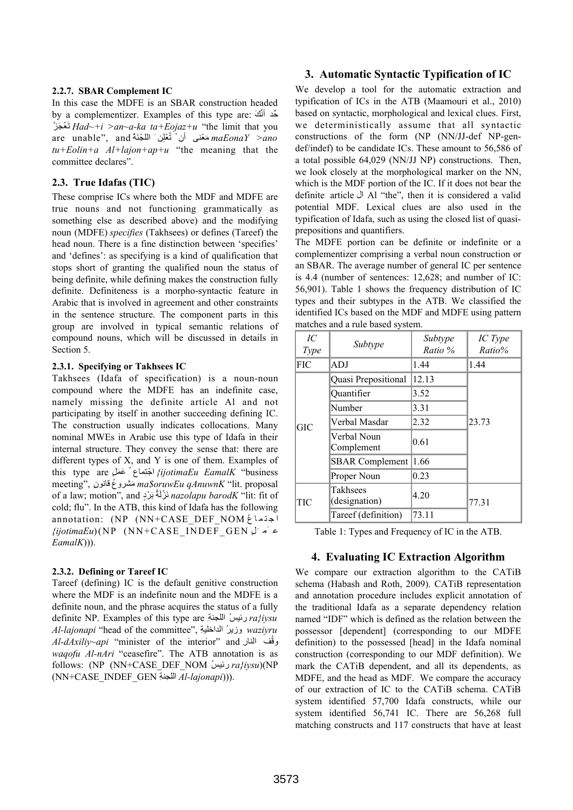#### **2.2.7. SBAR Complement IC**

In this case the MDFE is an SBAR construction headed by a complementizer. Examples of this type are: ََّك ِّحد أن ُجزَ عْ َت *Had~+i >an~a-ka ta+Eojaz+u* "the limit that you are unable", and ُةَ ِن َ الل ْجنُ ْعل *ano >maEonaY* َمْعنى أن ْ ت *tu+Eolin+a Al+lajon+ap+u* "the meaning that the committee declares".

#### **2.3. True Idafas (TIC)**

These comprise ICs where both the MDF and MDFE are true nouns and not functioning grammatically as something else as described above) and the modifying noun (MDFE) *specifies* (Takhsees) or defines (Tareef) the head noun. There is a fine distinction between 'specifies' and 'defines': as specifying is a kind of qualification that stops short of granting the qualified noun the status of being definite, while defining makes the construction fully definite. Definiteness is a morpho-syntactic feature in Arabic that is involved in agreement and other constraints in the sentence structure. The component parts in this group are involved in typical semantic relations of compound nouns, which will be discussed in details in Section 5.

#### **2.3.1. Specifying or Takhsees IC**

Takhsees (Idafa of specification) is a noun-noun compound where the MDFE has an indefinite case, namely missing the definite article Al and not participating by itself in another succeeding defining IC. The construction usually indicates collocations. Many nominal MWEs in Arabic use this type of Idafa in their internal structure. They convey the sense that: there are different types of X, and Y is one of them. Examples of ِماع ُ َع َملٍ are type this جتْ ا*} ijotimaEu EamalK* "business meeting", ٍقانون عُ مشروَ *ma\$oruwEu qAnuwnK* "lit. proposal of a law; motion", and نَرْنَةُ بَرْدٍ *nazolapu barodK* "lit: fit of cold; flu". In the ATB, this kind of Idafa has the following annotation: (NP (NN+CASE DEF NOM اجتماعُ *{ijotimaEu*)(NP (NN+CASE\_INDEF\_GEN ٍلَ مَ ع *EamalK*))).

#### **2.3.2. Defining or Tareef IC**

Tareef (defining) IC is the default genitive construction where the MDF is an indefinite noun and the MDFE is a definite noun, and the phrase acquires the status of a fully definite NP. Examples of this type are ِاللجنة ُرئیس *ra}iysu Al-lajonapi* "head of the committee", ِالداخلیة رُ وزی *waziyru Al-dAxiliy~api* "minister of the interior" and ِالنار فُ وق *waqofu Al-nAri* "ceasefire". The ATB annotation is as follows: (NP (NN+CASE\_DEF\_NOM ُرئیس *ra}iysu*)(NP (NN+CASE\_INDEF\_GEN ِاللجنة *Al-lajonapi*))).

### **3. Automatic Syntactic Typification of IC**

We develop a tool for the automatic extraction and typification of ICs in the ATB (Maamouri et al., 2010) based on syntactic, morphological and lexical clues. First, we deterministically assume that all syntactic constructions of the form (NP (NN/JJ-def NP-gendef/indef) to be candidate ICs. These amount to 56,586 of a total possible 64,029 (NN/JJ NP) constructions. Then, we look closely at the morphological marker on the NN, which is the MDF portion of the IC. If it does not bear the definite article ال Al "the", then it is considered a valid potential MDF. Lexical clues are also used in the typification of Idafa, such as using the closed list of quasiprepositions and quantifiers.

The MDFE portion can be definite or indefinite or a complementizer comprising a verbal noun construction or an SBAR. The average number of general IC per sentence is 4.4 (number of sentences: 12,628; and number of IC: 56,901). Table 1 shows the frequency distribution of IC types and their subtypes in the ATB. We classified the identified ICs based on the MDF and MDFE using pattern matches and a rule based system.

| IC<br><b>Type</b> | Subtype                   | Subtype<br>Ratio % | IC Type<br>Ratio% |  |
|-------------------|---------------------------|--------------------|-------------------|--|
| FIC               | ADJ                       | 1.44               | 1.44              |  |
| GIC               | Quasi Prepositional       | 12.13              |                   |  |
|                   | Quantifier                | 3.52               |                   |  |
|                   | Number                    | 3.31               |                   |  |
|                   | Verbal Masdar             | 2.32               | 23.73             |  |
|                   | Verbal Noun<br>Complement | 0.61               |                   |  |
|                   | <b>SBAR</b> Complement    | 1.66               |                   |  |
|                   | Proper Noun               | 0.23               |                   |  |
| TIC               | Takhsees<br>(designation) | 4.20               | 77.31             |  |
|                   | Tareef (definition)       | 73.11              |                   |  |

Table 1: Types and Frequency of IC in the ATB.

#### **4. Evaluating IC Extraction Algorithm**

We compare our extraction algorithm to the CATiB schema (Habash and Roth, 2009). CATiB representation and annotation procedure includes explicit annotation of the traditional Idafa as a separate dependency relation named "IDF" which is defined as the relation between the possessor [dependent] (corresponding to our MDFE definition) to the possessed [head] in the Idafa nominal construction (corresponding to our MDF definition). We mark the CATiB dependent, and all its dependents, as MDFE, and the head as MDF. We compare the accuracy of our extraction of IC to the CATiB schema. CATiB system identified 57,700 Idafa constructs, while our system identified 56,741 IC. There are 56,268 full matching constructs and 117 constructs that have at least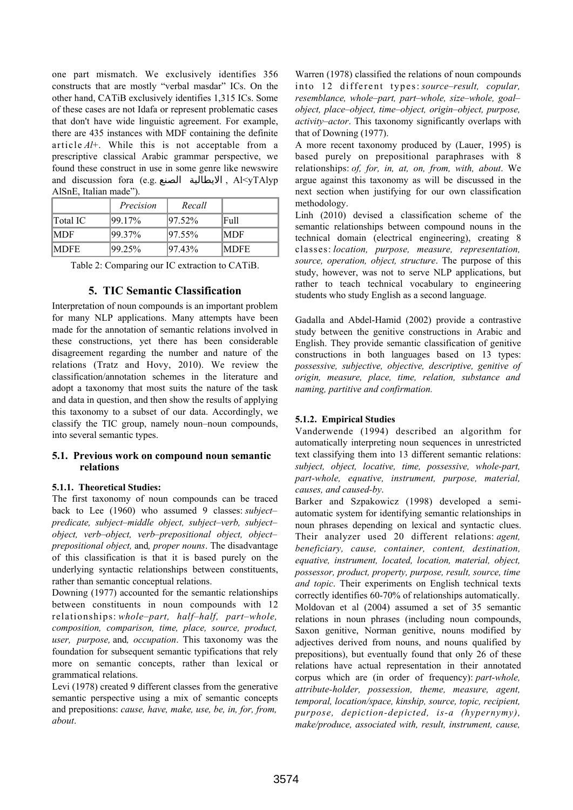one part mismatch. We exclusively identifies 356 constructs that are mostly "verbal masdar" ICs. On the other hand, CATiB exclusively identifies 1,315 ICs. Some of these cases are not Idafa or represent problematic cases that don't have wide linguistic agreement. For example, there are 435 instances with MDF containing the definite article *Al*+. While this is not acceptable from a prescriptive classical Arabic grammar perspective, we found these construct in use in some genre like newswire and discussion fora (e.g. الصنع الايطالية , Al<yTAlyp AlSnE, Italian made").

|                 | Precision | Recall     |              |
|-----------------|-----------|------------|--------------|
| <b>Total IC</b> | 199.17%   | $ 97.52\%$ | Full         |
| MDF             | 99.37%    | 197.55%    | IMDF         |
| MDFE            | 99.25%    | 97.43%     | <b>IMDFE</b> |

Table 2: Comparing our IC extraction to CATiB.

### **5. TIC Semantic Classification**

Interpretation of noun compounds is an important problem for many NLP applications. Many attempts have been made for the annotation of semantic relations involved in these constructions, yet there has been considerable disagreement regarding the number and nature of the relations (Tratz and Hovy, 2010). We review the classification/annotation schemes in the literature and adopt a taxonomy that most suits the nature of the task and data in question, and then show the results of applying this taxonomy to a subset of our data. Accordingly, we classify the TIC group, namely noun–noun compounds, into several semantic types.

#### **5.1. Previous work on compound noun semantic relations**

#### **5.1.1. Theoretical Studies:**

The first taxonomy of noun compounds can be traced back to Lee (1960) who assumed 9 classes: *subject– predicate, subject–middle object, subject–verb, subject– object, verb–object, verb–prepositional object, object– prepositional object,* and*, proper nouns*. The disadvantage of this classification is that it is based purely on the underlying syntactic relationships between constituents, rather than semantic conceptual relations.

Downing (1977) accounted for the semantic relationships between constituents in noun compounds with 12 relationships: *whole–part, half–half, part–whole, composition, comparison, time, place, source, product, user, purpose,* and*, occupation*. This taxonomy was the foundation for subsequent semantic typifications that rely more on semantic concepts, rather than lexical or grammatical relations.

Levi (1978) created 9 different classes from the generative semantic perspective using a mix of semantic concepts and prepositions: *cause, have, make, use, be, in, for, from, about*.

Warren (1978) classified the relations of noun compounds into 12 different types: *source–result, copular, resemblance, whole–part, part–whole, size–whole, goal– object, place–object, time–object, origin–object, purpose, activity–actor*. This taxonomy significantly overlaps with that of Downing (1977).

A more recent taxonomy produced by (Lauer, 1995) is based purely on prepositional paraphrases with 8 relationships: *of, for, in, at, on, from, with, about*. We argue against this taxonomy as will be discussed in the next section when justifying for our own classification methodology.

Linh (2010) devised a classification scheme of the semantic relationships between compound nouns in the technical domain (electrical engineering), creating 8 classes: *location, purpose, measure, representation, source, operation, object, structure*. The purpose of this study, however, was not to serve NLP applications, but rather to teach technical vocabulary to engineering students who study English as a second language.

Gadalla and Abdel-Hamid (2002) provide a contrastive study between the genitive constructions in Arabic and English. They provide semantic classification of genitive constructions in both languages based on 13 types: *possessive, subjective, objective, descriptive, genitive of origin, measure, place, time, relation, substance and naming, partitive and confirmation.*

# **5.1.2. Empirical Studies**

Vanderwende (1994) described an algorithm for automatically interpreting noun sequences in unrestricted text classifying them into 13 different semantic relations: *subject, object, locative, time, possessive, whole-part, part-whole, equative, instrument, purpose, material, causes, and caused-by*.

Barker and Szpakowicz (1998) developed a semiautomatic system for identifying semantic relationships in noun phrases depending on lexical and syntactic clues. Their analyzer used 20 different relations: *agent, beneficiary, cause, container, content, destination, equative, instrument, located, location, material, object, possessor, product, property, purpose, result, source, time and topic*. Their experiments on English technical texts correctly identifies 60-70% of relationships automatically. Moldovan et al (2004) assumed a set of 35 semantic relations in noun phrases (including noun compounds, Saxon genitive, Norman genitive, nouns modified by adjectives derived from nouns, and nouns qualified by prepositions), but eventually found that only 26 of these relations have actual representation in their annotated corpus which are (in order of frequency): *part-whole, attribute-holder, possession, theme, measure, agent, temporal, location/space, kinship, source, topic, recipient, purpose, depiction-depicted, is-a (hypernymy), make/produce, associated with, result, instrument, cause,*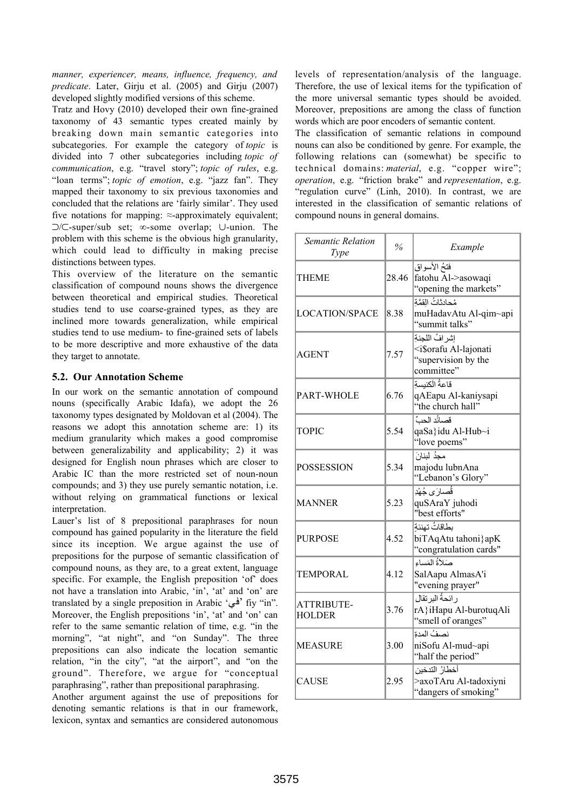*manner, experiencer, means, influence, frequency, and predicate*. Later, Girju et al. (2005) and Girju (2007) developed slightly modified versions of this scheme.

Tratz and Hovy (2010) developed their own fine-grained taxonomy of 43 semantic types created mainly by breaking down main semantic categories into subcategories. For example the category of *topic* is divided into 7 other subcategories including *topic of communication*, e.g. "travel story"; *topic of rules*, e.g. "loan terms"; *topic of emotion*, e.g. "jazz fan". They mapped their taxonomy to six previous taxonomies and concluded that the relations are 'fairly similar'. They used five notations for mapping:  $\approx$ -approximately equivalent; ⊃/⊂-super/sub set; ∞-some overlap; ∪-union. The problem with this scheme is the obvious high granularity, which could lead to difficulty in making precise distinctions between types.

This overview of the literature on the semantic classification of compound nouns shows the divergence between theoretical and empirical studies. Theoretical studies tend to use coarse-grained types, as they are inclined more towards generalization, while empirical studies tend to use medium- to fine-grained sets of labels to be more descriptive and more exhaustive of the data they target to annotate.

# **5.2. Our Annotation Scheme**

In our work on the semantic annotation of compound nouns (specifically Arabic Idafa), we adopt the 26 taxonomy types designated by Moldovan et al (2004). The reasons we adopt this annotation scheme are: 1) its medium granularity which makes a good compromise between generalizability and applicability; 2) it was designed for English noun phrases which are closer to Arabic IC than the more restricted set of noun-noun compounds; and 3) they use purely semantic notation, i.e. without relying on grammatical functions or lexical interpretation.

Lauer's list of 8 prepositional paraphrases for noun compound has gained popularity in the literature the field since its inception. We argue against the use of prepositions for the purpose of semantic classification of compound nouns, as they are, to a great extent, language specific. For example, the English preposition 'of' does not have a translation into Arabic, 'in', 'at' and 'on' are translated by a single preposition in Arabic 'في' fiy "in". Moreover, the English prepositions 'in', 'at' and 'on' can refer to the same semantic relation of time, e.g. "in the morning", "at night", and "on Sunday". The three prepositions can also indicate the location semantic relation, "in the city", "at the airport", and "on the ground". Therefore, we argue for "conceptual paraphrasing", rather than prepositional paraphrasing.

Another argument against the use of prepositions for denoting semantic relations is that in our framework, lexicon, syntax and semantics are considered autonomous

levels of representation/analysis of the language. Therefore, the use of lexical items for the typification of the more universal semantic types should be avoided. Moreover, prepositions are among the class of function words which are poor encoders of semantic content.

The classification of semantic relations in compound nouns can also be conditioned by genre. For example, the following relations can (somewhat) be specific to technical domains: *material*, e.g. "copper wire"; *operation*, e.g. "friction brake" and *representation*, e.g. "regulation curve" (Linh, 2010). In contrast, we are interested in the classification of semantic relations of compound nouns in general domains.

| Semantic Relation<br>Type   | $\frac{6}{2}$ | Example                                                                                      |
|-----------------------------|---------------|----------------------------------------------------------------------------------------------|
| THEME                       | 28.46         | فتحُ الأسواق<br>fatohu Al->asowaqi<br>"opening the markets"                                  |
| LOCATION/SPACE              | 8.38          | مُحادثاتُ القمَّة<br>muHadavAtu Al-qim~api<br>"summit talks"                                 |
| AGENT                       | 7.57          | إشر افُ اللجنةِ<br><i\$orafu al-lajonati<br="">"supervision by the<br/>committee"</i\$orafu> |
| PART-WHOLE                  | 6.76          | قاعةُ الكنيسةِ<br>qAEapu Al-kaniysapi<br>"the church hall"                                   |
| TOPIC                       | 5.54          | قصائُد الحبِّ<br>qaSa}idu Al-Hub~i<br>"love poems"                                           |
| POSSESSION                  | 5.34          | مجدُ لبنانَ<br>majodu lubnAna<br>"Lebanon's Glory"                                           |
| MANNER                      | 5.23          | قُصارَى جُهْدِ<br>quSAraY juhodi<br>"best efforts"                                           |
| <b>PURPOSE</b>              | 4.52          | بطاقاتُ تهنئة<br>biTAqAtu tahoni}apK<br>"congratulation cards"                               |
| TEMPORAL                    | 4.12          | صَلاَةُ المَساءِ<br>SalAapu AlmasA'i<br>"evening prayer"                                     |
| ATTRIBUTE-<br><b>HOLDER</b> | 3.76          | ر ائحةُ البر تقال<br>rA}iHapu Al-burotuqAli<br>"smell of oranges"                            |
| <b>MEASURE</b>              | 3.00          | نصفُ المدة<br>niSofu Al-mud~api<br>"half the period"                                         |
| <b>CAUSE</b>                | 2.95          | أخطارُ التدخين<br>>axoTAru Al-tadoxiyni<br>"dangers of smoking"                              |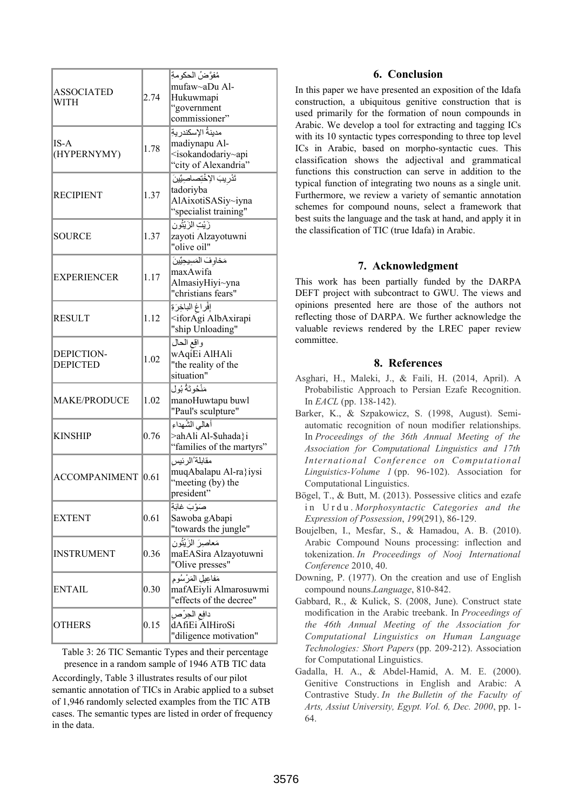| <b>ASSOCIATED</b><br>WITH     | 2.74 | مُفوَّضُ الحكومةِ<br>mufaw~aDu Al-<br>Hukuwmapi<br>"government                                                             |
|-------------------------------|------|----------------------------------------------------------------------------------------------------------------------------|
| $IS-A$<br>(HYPERNYMY)         | 1.78 | commissioner"<br>مدينةُ الإسكندر يةِ<br>madiynapu Al-<br><isokandodariy~api<br>"city of Alexandria"</isokandodariy~api<br> |
| <b>RECIPIENT</b>              | 1.37 | تَدْرِيبَ الإخْتِصاصِيِّينَ<br>tadoriyba<br>AlAixotiSASiy~iyna<br>"specialist training"                                    |
| SOURCE                        | 1.37 | زَيْتِ الزَيْتُون<br>zayoti Alzayotuwni<br>"olive oil"                                                                     |
| <b>EXPERIENCER</b>            | 117  | مَخاوفَ الْمَسِيحِيِّينَ<br>maxAwifa<br>AlmasiyHiyi~yna<br>"christians fears"                                              |
| <b>RESULT</b>                 | 1.12 | إفراغ الباخِرَةِ<br><iforagi albaxirapi<br="">"ship Unloading"</iforagi>                                                   |
| DEPICTION-<br><b>DEPICTED</b> | 1.02 | واقع الحال<br>wAqiEi AlHAli<br>"the reality of the<br>situation"                                                           |
| <b>MAKE/PRODUCE</b>           | 1.02 | مَنْحُوتَةُ بُول<br>manoHuwtapu buwl<br>"Paul's sculpture"                                                                 |
| <b>KINSHIP</b>                | 0.76 | أهالى الشُهداء<br>>ahAli Al-\$uhada}i<br>"families of the martyrs"                                                         |
| <b>ACCOMPANIMENT</b>          | 0.61 | مقابلة ُالرئيس<br>muqAbalapu Al-ra}iysi<br>"meeting (by) the<br>president"                                                 |
| <b>EXTENT</b>                 | 0.61 | صَوْبَ غابَةِ<br>Sawoba gAbapi<br>"towards the jungle"                                                                     |
| <b>INSTRUMENT</b>             | 0.36 | مَعاصِرَ الزَيْتُون<br>maEASira Alzayotuwni<br>"Olive presses"                                                             |
| <b>ENTAIL</b>                 | 0.30 | مَفاعِيلِ المَرْسُومِ<br>mafAEiyli Almarosuwmi<br>"effects of the decree"                                                  |
| <b>OTHERS</b>                 | 0.15 | دافع الحِرْص<br>dAfiEi AlHiroSi<br>"diligence motivation"                                                                  |

Table 3: 26 TIC Semantic Types and their percentage presence in a random sample of 1946 ATB TIC data

Accordingly, Table 3 illustrates results of our pilot semantic annotation of TICs in Arabic applied to a subset of 1,946 randomly selected examples from the TIC ATB cases. The semantic types are listed in order of frequency in the data.

# **6. Conclusion**

In this paper we have presented an exposition of the Idafa construction, a ubiquitous genitive construction that is used primarily for the formation of noun compounds in Arabic. We develop a tool for extracting and tagging ICs with its 10 syntactic types corresponding to three top level ICs in Arabic, based on morpho-syntactic cues. This classification shows the adjectival and grammatical functions this construction can serve in addition to the typical function of integrating two nouns as a single unit. Furthermore, we review a variety of semantic annotation schemes for compound nouns, select a framework that best suits the language and the task at hand, and apply it in the classification of TIC (true Idafa) in Arabic.

# **7. Acknowledgment**

This work has been partially funded by the DARPA DEFT project with subcontract to GWU. The views and opinions presented here are those of the authors not reflecting those of DARPA. We further acknowledge the valuable reviews rendered by the LREC paper review committee.

### **8. References**

- Asghari, H., Maleki, J., & Faili, H. (2014, April). A Probabilistic Approach to Persian Ezafe Recognition. In *EACL* (pp. 138-142).
- Barker, K., & Szpakowicz, S. (1998, August). Semiautomatic recognition of noun modifier relationships. In *Proceedings of the 36th Annual Meeting of the Association for Computational Linguistics and 17th International Conference on Computational Linguistics-Volume 1* (pp. 96-102). Association for Computational Linguistics.
- Bögel, T., & Butt, M. (2013). Possessive clitics and ezafe in Urdu. *Morphosyntactic Categories and the Expression of Possession*, *199*(291), 86-129.
- Boujelben, I., Mesfar, S., & Hamadou, A. B. (2010). Arabic Compound Nouns processing: inflection and tokenization. *In Proceedings of Nooj International Conference* 2010, 40.
- Downing, P. (1977). On the creation and use of English compound nouns.*Language*, 810-842.
- Gabbard, R., & Kulick, S. (2008, June). Construct state modification in the Arabic treebank. In *Proceedings of the 46th Annual Meeting of the Association for Computational Linguistics on Human Language Technologies: Short Papers* (pp. 209-212). Association for Computational Linguistics.
- Gadalla, H. A., & Abdel-Hamid, A. M. E. (2000). Genitive Constructions in English and Arabic: A Contrastive Study. *In the Bulletin of the Faculty of Arts, Assiut University, Egypt. Vol. 6, Dec. 2000*, pp. 1- 64.